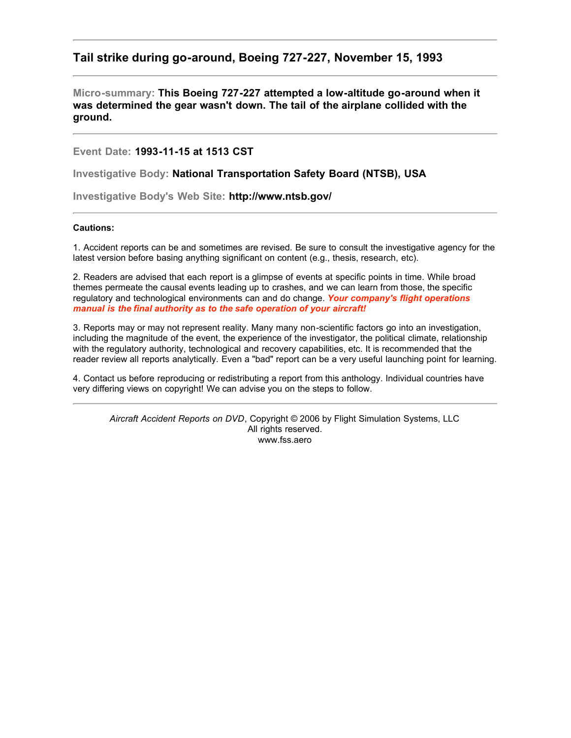# **Tail strike during go-around, Boeing 727-227, November 15, 1993**

**Micro-summary: This Boeing 727-227 attempted a low-altitude go-around when it was determined the gear wasn't down. The tail of the airplane collided with the ground.**

**Event Date: 1993-11-15 at 1513 CST**

**Investigative Body: National Transportation Safety Board (NTSB), USA**

**Investigative Body's Web Site: http://www.ntsb.gov/**

# **Cautions:**

1. Accident reports can be and sometimes are revised. Be sure to consult the investigative agency for the latest version before basing anything significant on content (e.g., thesis, research, etc).

2. Readers are advised that each report is a glimpse of events at specific points in time. While broad themes permeate the causal events leading up to crashes, and we can learn from those, the specific regulatory and technological environments can and do change. *Your company's flight operations manual is the final authority as to the safe operation of your aircraft!*

3. Reports may or may not represent reality. Many many non-scientific factors go into an investigation, including the magnitude of the event, the experience of the investigator, the political climate, relationship with the regulatory authority, technological and recovery capabilities, etc. It is recommended that the reader review all reports analytically. Even a "bad" report can be a very useful launching point for learning.

4. Contact us before reproducing or redistributing a report from this anthology. Individual countries have very differing views on copyright! We can advise you on the steps to follow.

*Aircraft Accident Reports on DVD*, Copyright © 2006 by Flight Simulation Systems, LLC All rights reserved. www.fss.aero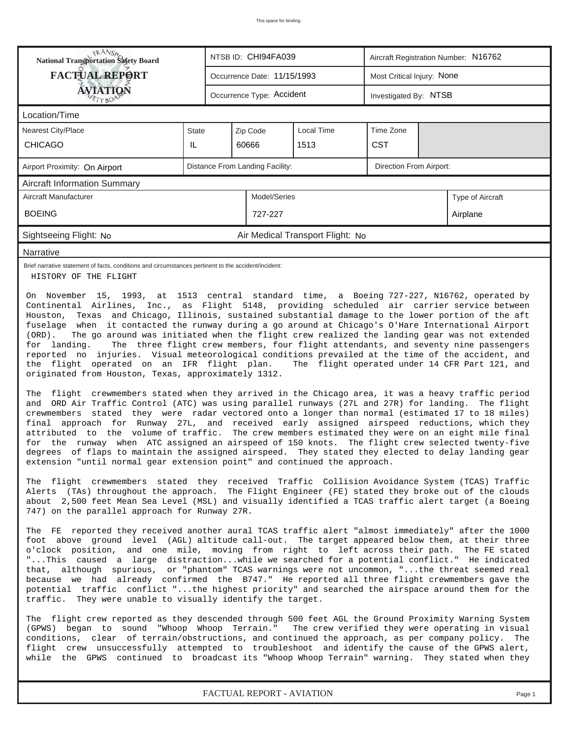| <b>National Transportation Safety Board</b>                                                                                                                                                                                                                                                                                                                                                                                                                                                                                                                                                                                                                                                                                                                                                                                                                                                                                                                                                                                                                                                                                                                                                                                                                                                                                                                                                                                                                                                          |              |                           | NTSB ID: CHI94FA039         |                                  | Aircraft Registration Number: N16762 |                            |                  |  |  |
|------------------------------------------------------------------------------------------------------------------------------------------------------------------------------------------------------------------------------------------------------------------------------------------------------------------------------------------------------------------------------------------------------------------------------------------------------------------------------------------------------------------------------------------------------------------------------------------------------------------------------------------------------------------------------------------------------------------------------------------------------------------------------------------------------------------------------------------------------------------------------------------------------------------------------------------------------------------------------------------------------------------------------------------------------------------------------------------------------------------------------------------------------------------------------------------------------------------------------------------------------------------------------------------------------------------------------------------------------------------------------------------------------------------------------------------------------------------------------------------------------|--------------|---------------------------|-----------------------------|----------------------------------|--------------------------------------|----------------------------|------------------|--|--|
| <b>FACTUAL REPORT</b>                                                                                                                                                                                                                                                                                                                                                                                                                                                                                                                                                                                                                                                                                                                                                                                                                                                                                                                                                                                                                                                                                                                                                                                                                                                                                                                                                                                                                                                                                |              |                           | Occurrence Date: 11/15/1993 |                                  |                                      | Most Critical Injury: None |                  |  |  |
| <b>ÁVJATIQN</b>                                                                                                                                                                                                                                                                                                                                                                                                                                                                                                                                                                                                                                                                                                                                                                                                                                                                                                                                                                                                                                                                                                                                                                                                                                                                                                                                                                                                                                                                                      |              | Occurrence Type: Accident |                             | Investigated By: NTSB            |                                      |                            |                  |  |  |
| Location/Time                                                                                                                                                                                                                                                                                                                                                                                                                                                                                                                                                                                                                                                                                                                                                                                                                                                                                                                                                                                                                                                                                                                                                                                                                                                                                                                                                                                                                                                                                        |              |                           |                             |                                  |                                      |                            |                  |  |  |
| Nearest City/Place                                                                                                                                                                                                                                                                                                                                                                                                                                                                                                                                                                                                                                                                                                                                                                                                                                                                                                                                                                                                                                                                                                                                                                                                                                                                                                                                                                                                                                                                                   | <b>State</b> |                           | Zip Code                    | <b>Local Time</b>                | Time Zone                            |                            |                  |  |  |
| <b>CHICAGO</b>                                                                                                                                                                                                                                                                                                                                                                                                                                                                                                                                                                                                                                                                                                                                                                                                                                                                                                                                                                                                                                                                                                                                                                                                                                                                                                                                                                                                                                                                                       | IL           |                           | 60666                       | 1513                             | <b>CST</b>                           |                            |                  |  |  |
| Distance From Landing Facility:<br>Direction From Airport:<br>Airport Proximity: On Airport                                                                                                                                                                                                                                                                                                                                                                                                                                                                                                                                                                                                                                                                                                                                                                                                                                                                                                                                                                                                                                                                                                                                                                                                                                                                                                                                                                                                          |              |                           |                             |                                  |                                      |                            |                  |  |  |
| <b>Aircraft Information Summary</b>                                                                                                                                                                                                                                                                                                                                                                                                                                                                                                                                                                                                                                                                                                                                                                                                                                                                                                                                                                                                                                                                                                                                                                                                                                                                                                                                                                                                                                                                  |              |                           |                             |                                  |                                      |                            |                  |  |  |
| Aircraft Manufacturer                                                                                                                                                                                                                                                                                                                                                                                                                                                                                                                                                                                                                                                                                                                                                                                                                                                                                                                                                                                                                                                                                                                                                                                                                                                                                                                                                                                                                                                                                |              |                           | Model/Series                |                                  |                                      |                            | Type of Aircraft |  |  |
| <b>BOEING</b>                                                                                                                                                                                                                                                                                                                                                                                                                                                                                                                                                                                                                                                                                                                                                                                                                                                                                                                                                                                                                                                                                                                                                                                                                                                                                                                                                                                                                                                                                        |              |                           | 727-227                     |                                  |                                      |                            | Airplane         |  |  |
| Sightseeing Flight: No                                                                                                                                                                                                                                                                                                                                                                                                                                                                                                                                                                                                                                                                                                                                                                                                                                                                                                                                                                                                                                                                                                                                                                                                                                                                                                                                                                                                                                                                               |              |                           |                             | Air Medical Transport Flight: No |                                      |                            |                  |  |  |
| Narrative                                                                                                                                                                                                                                                                                                                                                                                                                                                                                                                                                                                                                                                                                                                                                                                                                                                                                                                                                                                                                                                                                                                                                                                                                                                                                                                                                                                                                                                                                            |              |                           |                             |                                  |                                      |                            |                  |  |  |
| Brief narrative statement of facts, conditions and circumstances pertinent to the accident/incident:<br>HISTORY OF THE FLIGHT                                                                                                                                                                                                                                                                                                                                                                                                                                                                                                                                                                                                                                                                                                                                                                                                                                                                                                                                                                                                                                                                                                                                                                                                                                                                                                                                                                        |              |                           |                             |                                  |                                      |                            |                  |  |  |
| Houston, Texas and Chicago, Illinois, sustained substantial damage to the lower portion of the aft<br>fuselage when it contacted the runway during a go around at Chicago's O'Hare International Airport<br>The go around was initiated when the flight crew realized the landing gear was not extended<br>$(ORD)$ .<br>The three flight crew members, four flight attendants, and seventy nine passengers<br>for landing.<br>reported no injuries. Visual meteorological conditions prevailed at the time of the accident, and<br>the flight operated on an IFR flight plan.<br>The flight operated under 14 CFR Part 121, and<br>originated from Houston, Texas, approximately 1312.<br>The flight crewmembers stated when they arrived in the Chicago area, it was a heavy traffic period<br>ORD Air Traffic Control (ATC) was using parallel runways (27L and 27R) for landing. The flight<br>and<br>crewmembers stated they were radar vectored onto a longer than normal (estimated 17 to 18 miles)<br>final approach for Runway 27L, and received early assigned airspeed reductions, which they<br>attributed to the volume of traffic. The crew members estimated they were on an eight mile final<br>the runway when ATC assigned an airspeed of 150 knots. The flight crew selected twenty-five<br>for<br>degrees of flaps to maintain the assigned airspeed. They stated they elected to delay landing gear<br>extension "until normal gear extension point" and continued the approach. |              |                           |                             |                                  |                                      |                            |                  |  |  |
| The flight crewmembers stated they received Traffic Collision Avoidance System (TCAS) Traffic<br>Alerts (TAs) throughout the approach. The Flight Engineer (FE) stated they broke out of the clouds<br>about 2,500 feet Mean Sea Level (MSL) and visually identified a TCAS traffic alert target (a Boeing<br>747) on the parallel approach for Runway 27R.                                                                                                                                                                                                                                                                                                                                                                                                                                                                                                                                                                                                                                                                                                                                                                                                                                                                                                                                                                                                                                                                                                                                          |              |                           |                             |                                  |                                      |                            |                  |  |  |
| The FE reported they received another aural TCAS traffic alert "almost immediately" after the 1000<br>foot above ground level (AGL) altitude call-out. The target appeared below them, at their three<br>o'clock position, and one mile, moving from right to left across their path. The FE stated<br>"This caused a large distractionwhile we searched for a potential conflict." He indicated<br>that, although spurious, or "phantom" TCAS warnings were not uncommon, "the threat seemed real<br>because we had already confirmed the B747." He reported all three flight crewmembers gave the<br>potential traffic conflict "the highest priority" and searched the airspace around them for the<br>traffic. They were unable to visually identify the target.                                                                                                                                                                                                                                                                                                                                                                                                                                                                                                                                                                                                                                                                                                                                 |              |                           |                             |                                  |                                      |                            |                  |  |  |
| The flight crew reported as they descended through 500 feet AGL the Ground Proximity Warning System<br>(GPWS) began to sound "Whoop Whoop Terrain." The crew verified they were operating in visual<br>conditions, clear of terrain/obstructions, and continued the approach, as per company policy.<br>flight crew unsuccessfully attempted to troubleshoot and identify the cause of the GPWS alert,<br>while the GPWS continued to broadcast its "Whoop Whoop Terrain" warning. They stated when they                                                                                                                                                                                                                                                                                                                                                                                                                                                                                                                                                                                                                                                                                                                                                                                                                                                                                                                                                                                             |              |                           |                             |                                  |                                      |                            | The              |  |  |

*FACTUAL REPORT - AVIATION Page 1*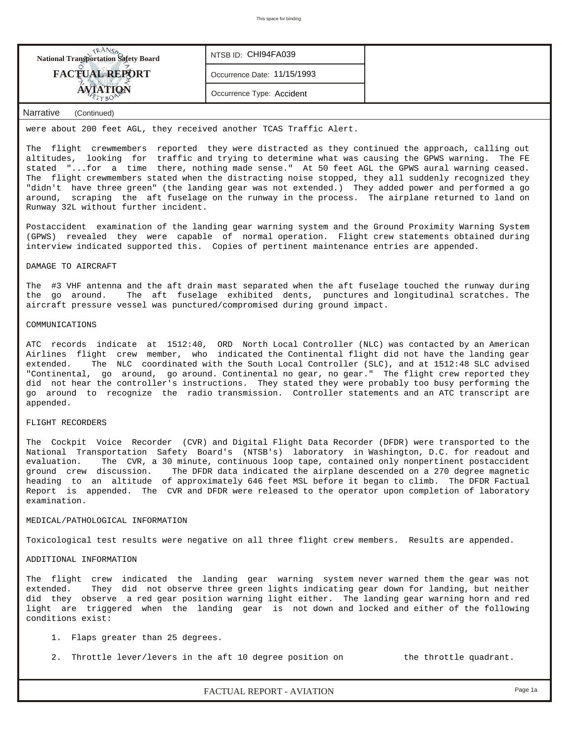| <b>National Transportation Safety Board</b> | NTSB ID: CHI94FA039         |  |
|---------------------------------------------|-----------------------------|--|
| <b>FACTUAL REPORT</b>                       | Occurrence Date: 11/15/1993 |  |
|                                             | Occurrence Type: Accident   |  |
|                                             |                             |  |

# *Narrative (Continued)*

were about 200 feet AGL, they received another TCAS Traffic Alert.

The flight crewmembers reported they were distracted as they continued the approach, calling out altitudes, looking for traffic and trying to determine what was causing the GPWS warning. The FE stated "...for a time there, nothing made sense." At 50 feet AGL the GPWS aural warning ceased. The flight crewmembers stated when the distracting noise stopped, they all suddenly recognized they "didn't have three green" (the landing gear was not extended.) They added power and performed a go around, scraping the aft fuselage on the runway in the process. The airplane returned to land on Runway 32L without further incident.

Postaccident examination of the landing gear warning system and the Ground Proximity Warning System (GPWS) revealed they were capable of normal operation. Flight crew statements obtained during interview indicated supported this. Copies of pertinent maintenance entries are appended.

## DAMAGE TO AIRCRAFT

The #3 VHF antenna and the aft drain mast separated when the aft fuselage touched the runway during the go around. The aft fuselage exhibited dents, punctures and longitudinal scratches. The aircraft pressure vessel was punctured/compromised during ground impact.

#### COMMUNICATIONS

ATC records indicate at 1512:40, ORD North Local Controller (NLC) was contacted by an American Airlines flight crew member, who indicated the Continental flight did not have the landing gear extended. The NLC coordinated with the South Local Controller (SLC), and at 1512:48 SLC advised "Continental, go around, go around. Continental no gear, no gear." The flight crew reported they did not hear the controller's instructions. They stated they were probably too busy performing the go around to recognize the radio transmission. Controller statements and an ATC transcript are appended.

#### FLIGHT RECORDERS

The Cockpit Voice Recorder (CVR) and Digital Flight Data Recorder (DFDR) were transported to the National Transportation Safety Board's (NTSB's) laboratory in Washington, D.C. for readout and evaluation. The CVR, a 30 minute, continuous loop tape, contained only nonpertinent postaccident ground crew discussion. The DFDR data indicated the airplane descended on a 270 degree magnetic heading to an altitude of approximately 646 feet MSL before it began to climb. The DFDR Factual Report is appended. The CVR and DFDR were released to the operator upon completion of laboratory examination.

## MEDICAL/PATHOLOGICAL INFORMATION

Toxicological test results were negative on all three flight crew members. Results are appended.

### ADDITIONAL INFORMATION

The flight crew indicated the landing gear warning system never warned them the gear was not extended. They did not observe three green lights indicating gear down for landing, but neither did they observe a red gear position warning light either. The landing gear warning horn and red light are triggered when the landing gear is not down and locked and either of the following conditions exist:

- 1. Flaps greater than 25 degrees.
- 2. Throttle lever/levers in the aft 10 degree position on the throttle quadrant.

*FACTUAL REPORT - AVIATION Page 1a*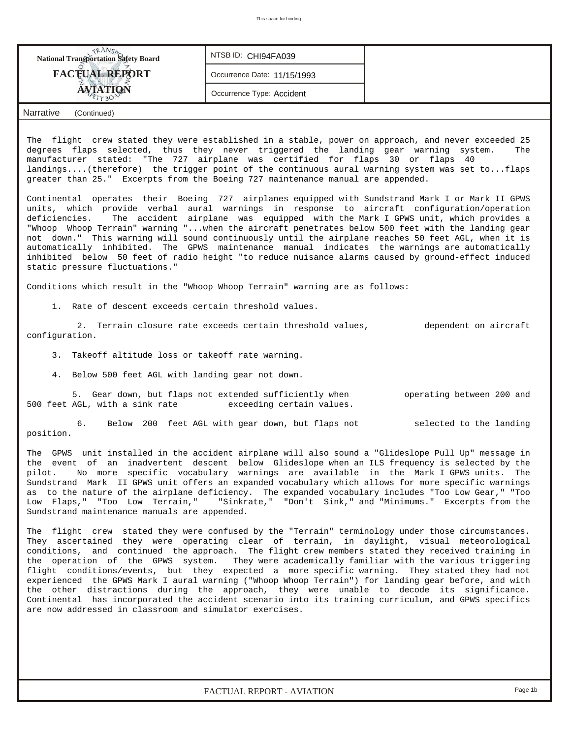|                                                                                                                                                                                                                                                                                                                                                                                                                                                                                                                                                                                                                                                                                                                                                                                                                                                                                                                                                                                                                                                                                                                                                                                                                                                                                                                                                                                                                                                                                                                                                                                                                                                                                                                                                                                                                                                                                                                                                                                                                                                                                                                                                                                                                                                                                                                                                                                                                                                                                                                                                                                                                                                                                                                                                                                                                                                                 | This space for binding                                                                                                                                                                                                                                                                                                                                               |                                                                                                                                                     |
|-----------------------------------------------------------------------------------------------------------------------------------------------------------------------------------------------------------------------------------------------------------------------------------------------------------------------------------------------------------------------------------------------------------------------------------------------------------------------------------------------------------------------------------------------------------------------------------------------------------------------------------------------------------------------------------------------------------------------------------------------------------------------------------------------------------------------------------------------------------------------------------------------------------------------------------------------------------------------------------------------------------------------------------------------------------------------------------------------------------------------------------------------------------------------------------------------------------------------------------------------------------------------------------------------------------------------------------------------------------------------------------------------------------------------------------------------------------------------------------------------------------------------------------------------------------------------------------------------------------------------------------------------------------------------------------------------------------------------------------------------------------------------------------------------------------------------------------------------------------------------------------------------------------------------------------------------------------------------------------------------------------------------------------------------------------------------------------------------------------------------------------------------------------------------------------------------------------------------------------------------------------------------------------------------------------------------------------------------------------------------------------------------------------------------------------------------------------------------------------------------------------------------------------------------------------------------------------------------------------------------------------------------------------------------------------------------------------------------------------------------------------------------------------------------------------------------------------------------------------------|----------------------------------------------------------------------------------------------------------------------------------------------------------------------------------------------------------------------------------------------------------------------------------------------------------------------------------------------------------------------|-----------------------------------------------------------------------------------------------------------------------------------------------------|
| <b>NANSA</b><br>National Transportation Safety Board                                                                                                                                                                                                                                                                                                                                                                                                                                                                                                                                                                                                                                                                                                                                                                                                                                                                                                                                                                                                                                                                                                                                                                                                                                                                                                                                                                                                                                                                                                                                                                                                                                                                                                                                                                                                                                                                                                                                                                                                                                                                                                                                                                                                                                                                                                                                                                                                                                                                                                                                                                                                                                                                                                                                                                                                            | NTSB ID: CHI94FA039                                                                                                                                                                                                                                                                                                                                                  |                                                                                                                                                     |
| <b>FACTUAL REPORT</b>                                                                                                                                                                                                                                                                                                                                                                                                                                                                                                                                                                                                                                                                                                                                                                                                                                                                                                                                                                                                                                                                                                                                                                                                                                                                                                                                                                                                                                                                                                                                                                                                                                                                                                                                                                                                                                                                                                                                                                                                                                                                                                                                                                                                                                                                                                                                                                                                                                                                                                                                                                                                                                                                                                                                                                                                                                           | Occurrence Date: 11/15/1993                                                                                                                                                                                                                                                                                                                                          |                                                                                                                                                     |
| AVIATION                                                                                                                                                                                                                                                                                                                                                                                                                                                                                                                                                                                                                                                                                                                                                                                                                                                                                                                                                                                                                                                                                                                                                                                                                                                                                                                                                                                                                                                                                                                                                                                                                                                                                                                                                                                                                                                                                                                                                                                                                                                                                                                                                                                                                                                                                                                                                                                                                                                                                                                                                                                                                                                                                                                                                                                                                                                        | Occurrence Type: Accident                                                                                                                                                                                                                                                                                                                                            |                                                                                                                                                     |
| Narrative<br>(Continued)                                                                                                                                                                                                                                                                                                                                                                                                                                                                                                                                                                                                                                                                                                                                                                                                                                                                                                                                                                                                                                                                                                                                                                                                                                                                                                                                                                                                                                                                                                                                                                                                                                                                                                                                                                                                                                                                                                                                                                                                                                                                                                                                                                                                                                                                                                                                                                                                                                                                                                                                                                                                                                                                                                                                                                                                                                        |                                                                                                                                                                                                                                                                                                                                                                      |                                                                                                                                                     |
| The flight crew stated they were established in a stable, power on approach, and never exceeded 25<br>degrees flaps selected, thus they never triggered the landing gear warning system.<br>manufacturer stated: "The 727 airplane was certified for flaps 30 or flaps 40<br>landings(therefore) the trigger point of the continuous aural warning system was set toflaps<br>greater than 25." Excerpts from the Boeing 727 maintenance manual are appended.<br>Continental operates their Boeing 727 airplanes equipped with Sundstrand Mark I or Mark II GPWS<br>units, which provide verbal aural warnings in response to aircraft configuration/operation<br>deficiencies.<br>"Whoop Whoop Terrain" warning "when the aircraft penetrates below 500 feet with the landing gear<br>not down." This warning will sound continuously until the airplane reaches 50 feet AGL, when it is<br>automatically inhibited. The GPWS maintenance manual indicates the warnings are automatically<br>inhibited below 50 feet of radio height "to reduce nuisance alarms caused by ground-effect induced<br>static pressure fluctuations."<br>Conditions which result in the "Whoop Whoop Terrain" warning are as follows:<br>1. Rate of descent exceeds certain threshold values.<br>configuration.<br>3. Takeoff altitude loss or takeoff rate warning.<br>4. Below 500 feet AGL with landing gear not down.<br>500 feet AGL, with a sink rate<br>б.<br>Below<br>position.<br>The GPWS unit installed in the accident airplane will also sound a "Glideslope Pull Up" message in<br>the event of an inadvertent descent below Glideslope when an ILS frequency is selected by the<br>pilot.<br>Sundstrand Mark II GPWS unit offers an expanded vocabulary which allows for more specific warnings<br>as to the nature of the airplane deficiency. The expanded vocabulary includes "Too Low Gear," "Too<br>Low Flaps," "Too Low Terrain," "Sinkrate," "Don't Sink," and "Minimums." Excerpts from the<br>Sundstrand maintenance manuals are appended.<br>The flight crew stated they were confused by the "Terrain" terminology under those circumstances.<br>They ascertained they were operating clear of terrain, in daylight, visual meteorological<br>conditions, and continued the approach. The flight crew members stated they received training in<br>the operation of the GPWS system.<br>flight conditions/events, but they expected a more specific warning. They stated they had not<br>experienced the GPWS Mark I aural warning ("Whoop Whoop Terrain") for landing gear before, and with<br>the other distractions during the approach, they were unable to decode its significance.<br>Continental has incorporated the accident scenario into its training curriculum, and GPWS specifics<br>are now addressed in classroom and simulator exercises. | The accident airplane was equipped with the Mark I GPWS unit, which provides a<br>2. Terrain closure rate exceeds certain threshold values,<br>5. Gear down, but flaps not extended sufficiently when<br>exceeding certain values.<br>200 feet AGL with gear down, but flaps not<br>No more specific vocabulary warnings are available in the Mark I GPWS units. The | The<br>dependent on aircraft<br>operating between 200 and<br>selected to the landing<br>They were academically familiar with the various triggering |
|                                                                                                                                                                                                                                                                                                                                                                                                                                                                                                                                                                                                                                                                                                                                                                                                                                                                                                                                                                                                                                                                                                                                                                                                                                                                                                                                                                                                                                                                                                                                                                                                                                                                                                                                                                                                                                                                                                                                                                                                                                                                                                                                                                                                                                                                                                                                                                                                                                                                                                                                                                                                                                                                                                                                                                                                                                                                 |                                                                                                                                                                                                                                                                                                                                                                      |                                                                                                                                                     |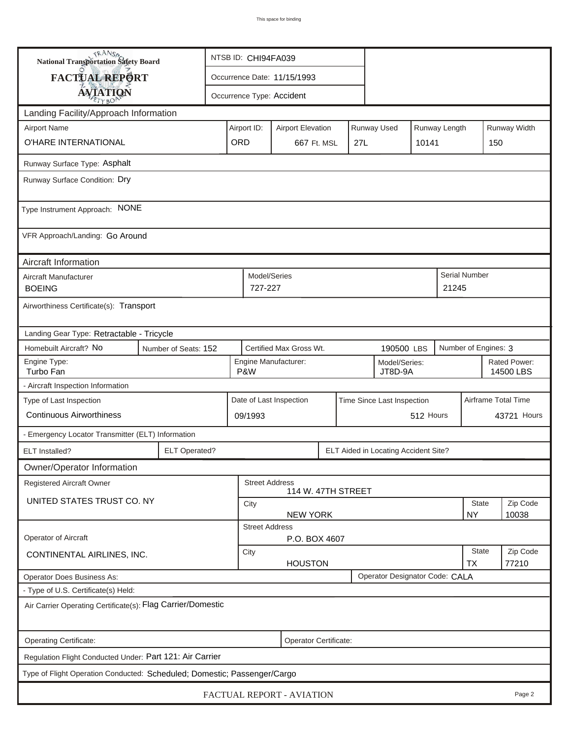| <b>National Transportation Safety Board</b>                              |                      | NTSB ID: CHI94FA039                                            |                          |                                             |     |             |                                      |                           |                     |                      |                           |  |
|--------------------------------------------------------------------------|----------------------|----------------------------------------------------------------|--------------------------|---------------------------------------------|-----|-------------|--------------------------------------|---------------------------|---------------------|----------------------|---------------------------|--|
| FACTUAL REPORT                                                           |                      | Occurrence Date: 11/15/1993                                    |                          |                                             |     |             |                                      |                           |                     |                      |                           |  |
| <b>AVIATION</b>                                                          |                      |                                                                |                          | Occurrence Type: Accident                   |     |             |                                      |                           |                     |                      |                           |  |
| Landing Facility/Approach Information                                    |                      |                                                                |                          |                                             |     |             |                                      |                           |                     |                      |                           |  |
| <b>Airport Name</b>                                                      | Airport ID:          |                                                                | <b>Airport Elevation</b> |                                             |     | Runway Used |                                      | Runway Length             |                     | Runway Width         |                           |  |
| O'HARE INTERNATIONAL                                                     | ORD                  |                                                                | 667 Ft. MSL              |                                             | 27L |             | 10141                                |                           | 150                 |                      |                           |  |
| Runway Surface Type: Asphalt                                             |                      |                                                                |                          |                                             |     |             |                                      |                           |                     |                      |                           |  |
| Runway Surface Condition: Dry                                            |                      |                                                                |                          |                                             |     |             |                                      |                           |                     |                      |                           |  |
|                                                                          |                      |                                                                |                          |                                             |     |             |                                      |                           |                     |                      |                           |  |
| Type Instrument Approach: NONE                                           |                      |                                                                |                          |                                             |     |             |                                      |                           |                     |                      |                           |  |
| VFR Approach/Landing: Go Around                                          |                      |                                                                |                          |                                             |     |             |                                      |                           |                     |                      |                           |  |
| Aircraft Information                                                     |                      |                                                                |                          |                                             |     |             |                                      |                           |                     |                      |                           |  |
| Aircraft Manufacturer<br><b>BOEING</b>                                   |                      |                                                                | Model/Series<br>727-227  |                                             |     |             |                                      |                           | 21245               | Serial Number        |                           |  |
| Airworthiness Certificate(s): Transport                                  |                      |                                                                |                          |                                             |     |             |                                      |                           |                     |                      |                           |  |
| Landing Gear Type: Retractable - Tricycle                                |                      |                                                                |                          |                                             |     |             |                                      |                           |                     |                      |                           |  |
| Homebuilt Aircraft? No                                                   | Number of Seats: 152 |                                                                |                          | Certified Max Gross Wt.                     |     |             | 190500 LBS                           |                           |                     | Number of Engines: 3 |                           |  |
| Engine Type:<br>Turbo Fan                                                |                      | P&W                                                            |                          | Engine Manufacturer:                        |     |             | Model/Series:<br>JT8D-9A             |                           |                     |                      | Rated Power:<br>14500 LBS |  |
| - Aircraft Inspection Information                                        |                      |                                                                |                          |                                             |     |             |                                      |                           |                     |                      |                           |  |
| Type of Last Inspection                                                  |                      | Date of Last Inspection<br>Time Since Last Inspection          |                          |                                             |     |             |                                      |                           | Airframe Total Time |                      |                           |  |
| <b>Continuous Airworthiness</b>                                          |                      | 512 Hours<br>09/1993                                           |                          |                                             |     |             |                                      | 43721 Hours               |                     |                      |                           |  |
| - Emergency Locator Transmitter (ELT) Information                        |                      |                                                                |                          |                                             |     |             |                                      |                           |                     |                      |                           |  |
| <b>ELT</b> Installed?                                                    | <b>ELT Operated?</b> |                                                                |                          |                                             |     |             | ELT Aided in Locating Accident Site? |                           |                     |                      |                           |  |
| Owner/Operator Information                                               |                      |                                                                |                          |                                             |     |             |                                      |                           |                     |                      |                           |  |
| Registered Aircraft Owner                                                |                      |                                                                |                          | <b>Street Address</b><br>114 W. 47TH STREET |     |             |                                      |                           |                     |                      |                           |  |
| UNITED STATES TRUST CO. NY                                               |                      |                                                                | City                     |                                             |     |             |                                      |                           |                     | State                | Zip Code                  |  |
|                                                                          |                      | <b>NEW YORK</b><br><b>NY</b><br>10038<br><b>Street Address</b> |                          |                                             |     |             |                                      |                           |                     |                      |                           |  |
| <b>Operator of Aircraft</b>                                              |                      |                                                                |                          | P.O. BOX 4607                               |     |             |                                      |                           |                     |                      |                           |  |
| CONTINENTAL AIRLINES, INC.                                               |                      | City<br><b>HOUSTON</b>                                         |                          |                                             |     |             |                                      | <b>State</b><br><b>TX</b> | Zip Code<br>77210   |                      |                           |  |
| Operator Does Business As:                                               |                      | Operator Designator Code: CALA                                 |                          |                                             |     |             |                                      |                           |                     |                      |                           |  |
| - Type of U.S. Certificate(s) Held:                                      |                      |                                                                |                          |                                             |     |             |                                      |                           |                     |                      |                           |  |
| Air Carrier Operating Certificate(s): Flag Carrier/Domestic              |                      |                                                                |                          |                                             |     |             |                                      |                           |                     |                      |                           |  |
| Operating Certificate:                                                   |                      |                                                                |                          | Operator Certificate:                       |     |             |                                      |                           |                     |                      |                           |  |
| Regulation Flight Conducted Under: Part 121: Air Carrier                 |                      |                                                                |                          |                                             |     |             |                                      |                           |                     |                      |                           |  |
| Type of Flight Operation Conducted: Scheduled; Domestic; Passenger/Cargo |                      |                                                                |                          |                                             |     |             |                                      |                           |                     |                      |                           |  |
| FACTUAL REPORT - AVIATION<br>Page 2                                      |                      |                                                                |                          |                                             |     |             |                                      |                           |                     |                      |                           |  |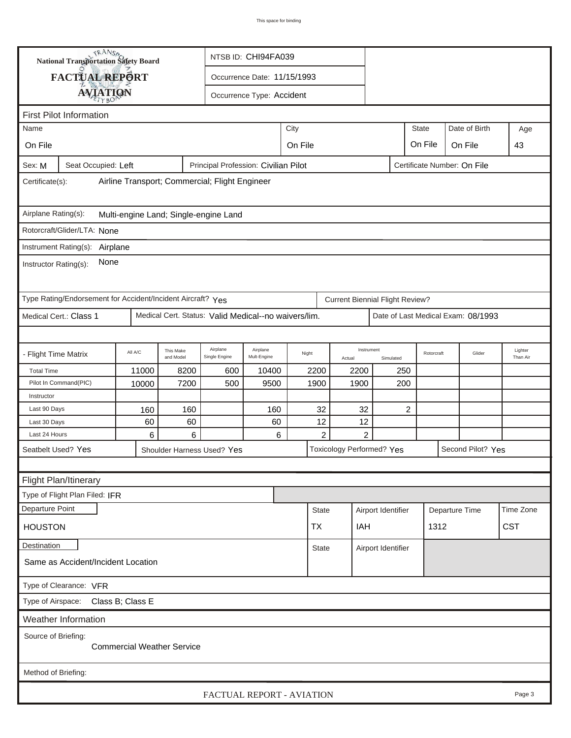| TRANSA<br>NTSB ID: CHI94FA039<br>National Transportation Safety Board                                |                                                             |           |                        |                                                      |                             |                           |          |                                        |            |      |                                    |                     |
|------------------------------------------------------------------------------------------------------|-------------------------------------------------------------|-----------|------------------------|------------------------------------------------------|-----------------------------|---------------------------|----------|----------------------------------------|------------|------|------------------------------------|---------------------|
|                                                                                                      | FACTUAL REPORT                                              |           |                        |                                                      | Occurrence Date: 11/15/1993 |                           |          |                                        |            |      |                                    |                     |
|                                                                                                      |                                                             |           |                        |                                                      |                             |                           |          |                                        |            |      |                                    |                     |
|                                                                                                      | <b>AVIATION</b>                                             |           |                        |                                                      | Occurrence Type: Accident   |                           |          |                                        |            |      |                                    |                     |
| <b>First Pilot Information</b>                                                                       |                                                             |           |                        |                                                      |                             |                           |          |                                        |            |      |                                    |                     |
| <b>State</b><br>City<br>Name<br>On File                                                              |                                                             |           |                        |                                                      |                             |                           |          |                                        |            |      | Date of Birth                      | Age                 |
| On File                                                                                              |                                                             |           |                        |                                                      |                             | On File                   | 43       |                                        |            |      |                                    |                     |
| Certificate Number: On File<br>Seat Occupied: Left<br>Principal Profession: Civilian Pilot<br>Sex: M |                                                             |           |                        |                                                      |                             |                           |          |                                        |            |      |                                    |                     |
| Airline Transport; Commercial; Flight Engineer<br>Certificate(s):                                    |                                                             |           |                        |                                                      |                             |                           |          |                                        |            |      |                                    |                     |
| Airplane Rating(s):<br>Multi-engine Land; Single-engine Land                                         |                                                             |           |                        |                                                      |                             |                           |          |                                        |            |      |                                    |                     |
|                                                                                                      | Rotorcraft/Glider/LTA: None                                 |           |                        |                                                      |                             |                           |          |                                        |            |      |                                    |                     |
|                                                                                                      | Instrument Rating(s): Airplane                              |           |                        |                                                      |                             |                           |          |                                        |            |      |                                    |                     |
| None<br>Instructor Rating(s):                                                                        |                                                             |           |                        |                                                      |                             |                           |          |                                        |            |      |                                    |                     |
|                                                                                                      | Type Rating/Endorsement for Accident/Incident Aircraft? Yes |           |                        |                                                      |                             |                           |          | <b>Current Biennial Flight Review?</b> |            |      |                                    |                     |
|                                                                                                      | Medical Cert.: Class 1                                      |           |                        | Medical Cert. Status: Valid Medical--no waivers/lim. |                             |                           |          |                                        |            |      | Date of Last Medical Exam: 08/1993 |                     |
|                                                                                                      |                                                             |           |                        |                                                      |                             |                           |          |                                        |            |      |                                    |                     |
| - Flight Time Matrix                                                                                 |                                                             | All A/C   | This Make<br>and Model | Airplane<br>Single Engine                            | Airplane<br>Mult-Engine     | Night                     | Actual   | Instrument<br>Simulated                | Rotorcraft |      | Glider                             | Lighter<br>Than Air |
| <b>Total Time</b>                                                                                    |                                                             | 11000     | 8200                   | 600                                                  | 10400                       | 2200                      | 2200     |                                        | 250        |      |                                    |                     |
|                                                                                                      | Pilot In Command(PIC)                                       | 10000     | 7200                   | 500                                                  | 9500                        | 1900                      | 1900     |                                        | 200        |      |                                    |                     |
| Instructor                                                                                           |                                                             |           |                        |                                                      |                             |                           |          |                                        |            |      |                                    |                     |
| Last 90 Days<br>Last 30 Days                                                                         |                                                             | 160<br>60 | 160<br>60              |                                                      | 160<br>60                   | 32<br>12                  | 32<br>12 |                                        | 2          |      |                                    |                     |
| Last 24 Hours                                                                                        |                                                             | 6         | 6                      |                                                      | 6                           | $\overline{c}$            |          | $\overline{2}$                         |            |      |                                    |                     |
|                                                                                                      | Seatbelt Used? Yes                                          |           |                        | Shoulder Harness Used? Yes                           |                             |                           |          | <b>Toxicology Performed? Yes</b>       |            |      | Second Pilot? Yes                  |                     |
|                                                                                                      |                                                             |           |                        |                                                      |                             |                           |          |                                        |            |      |                                    |                     |
|                                                                                                      | Flight Plan/Itinerary                                       |           |                        |                                                      |                             |                           |          |                                        |            |      |                                    |                     |
|                                                                                                      | Type of Flight Plan Filed: IFR                              |           |                        |                                                      |                             |                           |          |                                        |            |      |                                    |                     |
| Departure Point                                                                                      |                                                             |           |                        |                                                      |                             | <b>State</b>              |          | Airport Identifier                     |            |      | Departure Time                     | Time Zone           |
| <b>HOUSTON</b>                                                                                       |                                                             |           |                        |                                                      |                             | TX                        | IAH      |                                        |            | 1312 |                                    | <b>CST</b>          |
|                                                                                                      |                                                             |           |                        |                                                      |                             |                           |          |                                        |            |      |                                    |                     |
| Destination                                                                                          |                                                             |           |                        |                                                      |                             | <b>State</b>              |          | Airport Identifier                     |            |      |                                    |                     |
| Same as Accident/Incident Location                                                                   |                                                             |           |                        |                                                      |                             |                           |          |                                        |            |      |                                    |                     |
|                                                                                                      | Type of Clearance: VFR                                      |           |                        |                                                      |                             |                           |          |                                        |            |      |                                    |                     |
| Type of Airspace: Class B; Class E                                                                   |                                                             |           |                        |                                                      |                             |                           |          |                                        |            |      |                                    |                     |
|                                                                                                      | <b>Weather Information</b>                                  |           |                        |                                                      |                             |                           |          |                                        |            |      |                                    |                     |
| Source of Briefing:<br><b>Commercial Weather Service</b>                                             |                                                             |           |                        |                                                      |                             |                           |          |                                        |            |      |                                    |                     |
| Method of Briefing:                                                                                  |                                                             |           |                        |                                                      |                             |                           |          |                                        |            |      |                                    |                     |
|                                                                                                      |                                                             |           |                        |                                                      |                             | FACTUAL REPORT - AVIATION |          |                                        |            |      |                                    | Page 3              |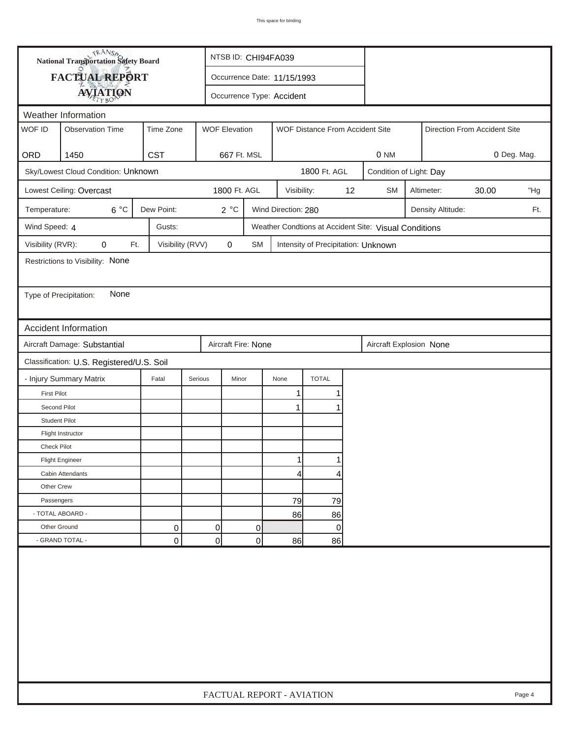|                        | <b>National Transportation Safety Board</b> |                  |                           | NTSB ID: CHI94FA039         |                     |                                     |    |                                                       |             |                   |       |        |
|------------------------|---------------------------------------------|------------------|---------------------------|-----------------------------|---------------------|-------------------------------------|----|-------------------------------------------------------|-------------|-------------------|-------|--------|
|                        | FACTUAL REPORT                              |                  |                           | Occurrence Date: 11/15/1993 |                     |                                     |    |                                                       |             |                   |       |        |
|                        | <b>AVIATION</b>                             |                  |                           | Occurrence Type: Accident   |                     |                                     |    |                                                       |             |                   |       |        |
|                        | Weather Information                         |                  |                           |                             |                     |                                     |    |                                                       |             |                   |       |        |
| WOF ID                 | <b>Observation Time</b>                     | Time Zone        | <b>WOF Elevation</b>      |                             |                     | WOF Distance From Accident Site     |    | Direction From Accident Site                          |             |                   |       |        |
| ORD                    | 1450                                        | <b>CST</b>       | 667 Ft. MSL               |                             |                     |                                     |    | 0 NM                                                  | 0 Deg. Mag. |                   |       |        |
|                        | Sky/Lowest Cloud Condition: Unknown         |                  |                           |                             |                     | 1800 Ft. AGL                        |    | Condition of Light: Day                               |             |                   |       |        |
|                        | Lowest Ceiling: Overcast                    |                  | 1800 Ft. AGL              |                             | Visibility:         |                                     | 12 | <b>SM</b>                                             |             | Altimeter:        | 30.00 | "Hg    |
| Temperature:           | $6^{\circ}C$                                | Dew Point:       | 2°C                       |                             | Wind Direction: 280 |                                     |    |                                                       |             | Density Altitude: |       | Ft.    |
| Wind Speed: 4          |                                             | Gusts:           |                           |                             |                     |                                     |    | Weather Condtions at Accident Site: Visual Conditions |             |                   |       |        |
| Visibility (RVR):      | 0<br>Ft.                                    | Visibility (RVV) | $\mathbf 0$               | <b>SM</b>                   |                     | Intensity of Precipitation: Unknown |    |                                                       |             |                   |       |        |
|                        | Restrictions to Visibility: None            |                  |                           |                             |                     |                                     |    |                                                       |             |                   |       |        |
|                        |                                             |                  |                           |                             |                     |                                     |    |                                                       |             |                   |       |        |
| Type of Precipitation: | None                                        |                  |                           |                             |                     |                                     |    |                                                       |             |                   |       |        |
|                        |                                             |                  |                           |                             |                     |                                     |    |                                                       |             |                   |       |        |
|                        | <b>Accident Information</b>                 |                  |                           |                             |                     |                                     |    |                                                       |             |                   |       |        |
|                        | Aircraft Damage: Substantial                |                  | Aircraft Fire: None       |                             |                     |                                     |    | Aircraft Explosion None                               |             |                   |       |        |
|                        | Classification: U.S. Registered/U.S. Soil   |                  |                           |                             |                     |                                     |    |                                                       |             |                   |       |        |
|                        | - Injury Summary Matrix                     | Fatal            | Serious<br>Minor          |                             | None                | <b>TOTAL</b>                        |    |                                                       |             |                   |       |        |
| <b>First Pilot</b>     |                                             |                  |                           |                             | 1                   |                                     |    |                                                       |             |                   |       |        |
| Second Pilot           |                                             |                  |                           |                             | $\mathbf{1}$        |                                     |    |                                                       |             |                   |       |        |
| <b>Student Pilot</b>   |                                             |                  |                           |                             |                     |                                     |    |                                                       |             |                   |       |        |
|                        | Flight Instructor                           |                  |                           |                             |                     |                                     |    |                                                       |             |                   |       |        |
| Check Pilot            |                                             |                  |                           |                             |                     |                                     |    |                                                       |             |                   |       |        |
|                        | <b>Flight Engineer</b>                      |                  |                           |                             | 1                   |                                     |    |                                                       |             |                   |       |        |
|                        | Cabin Attendants                            |                  |                           |                             | 4                   | 4                                   |    |                                                       |             |                   |       |        |
| Other Crew             |                                             |                  |                           |                             |                     |                                     |    |                                                       |             |                   |       |        |
| Passengers             |                                             |                  |                           |                             | 79                  | 79                                  |    |                                                       |             |                   |       |        |
| - TOTAL ABOARD -       |                                             |                  |                           |                             | 86                  | 86                                  |    |                                                       |             |                   |       |        |
| Other Ground           |                                             | 0                | 0                         | 0                           |                     | $\mathbf 0$                         |    |                                                       |             |                   |       |        |
|                        | - GRAND TOTAL -                             | 0                | 0                         | 0                           | 86                  | 86                                  |    |                                                       |             |                   |       |        |
|                        |                                             |                  |                           |                             |                     |                                     |    |                                                       |             |                   |       |        |
|                        |                                             |                  | FACTUAL REPORT - AVIATION |                             |                     |                                     |    |                                                       |             |                   |       | Page 4 |